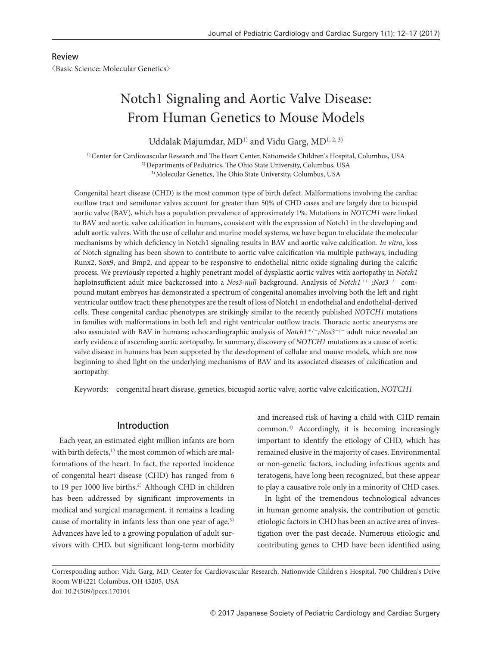#### Review

〈Basic Science: Molecular Genetics〉

# Notch1 Signaling and Aortic Valve Disease: From Human Genetics to Mouse Models

Uddalak Majumdar, MD<sup>1)</sup> and Vidu Garg, MD<sup>1, 2, 3)</sup>

1) Center for Cardiovascular Research and The Heart Center, Nationwide Children's Hospital, Columbus, USA 2) Departments of Pediatrics, The Ohio State University, Columbus, USA 3) Molecular Genetics, The Ohio State University, Columbus, USA

Congenital heart disease (CHD) is the most common type of birth defect. Malformations involving the cardiac outflow tract and semilunar valves account for greater than 50% of CHD cases and are largely due to bicuspid aortic valve (BAV), which has a population prevalence of approximately 1%. Mutations in *NOTCH1* were linked to BAV and aortic valve calcification in humans, consistent with the expression of Notch1 in the developing and adult aortic valves. With the use of cellular and murine model systems, we have begun to elucidate the molecular mechanisms by which deficiency in Notch1 signaling results in BAV and aortic valve calcification. *In vitro*, loss of Notch signaling has been shown to contribute to aortic valve calcification via multiple pathways, including Runx2, Sox9, and Bmp2, and appear to be responsive to endothelial nitric oxide signaling during the calcific process. We previously reported a highly penetrant model of dysplastic aortic valves with aortopathy in *Notch1* haploinsufficient adult mice backcrossed into a *Nos3-null* background. Analysis of *Notch1*+/−*;Nos3*−/− compound mutant embryos has demonstrated a spectrum of congenital anomalies involving both the left and right ventricular outflow tract; these phenotypes are the result of loss of Notch1 in endothelial and endothelial-derived cells. These congenital cardiac phenotypes are strikingly similar to the recently published *NOTCH1* mutations in families with malformations in both left and right ventricular outflow tracts. Thoracic aortic aneurysms are also associated with BAV in humans; echocardiographic analysis of *Notch1*<sup>+</sup>/<sup>−</sup>*;Nos3*<sup>−</sup>/<sup>−</sup> adult mice revealed an early evidence of ascending aortic aortopathy. In summary, discovery of *NOTCH1* mutations as a cause of aortic valve disease in humans has been supported by the development of cellular and mouse models, which are now beginning to shed light on the underlying mechanisms of BAV and its associated diseases of calcification and aortopathy.

Keywords: congenital heart disease, genetics, bicuspid aortic valve, aortic valve calcification, *NOTCH1*

#### Introduction

Each year, an estimated eight million infants are born with birth defects,<sup>1)</sup> the most common of which are malformations of the heart. In fact, the reported incidence of congenital heart disease (CHD) has ranged from 6 to 19 per 1000 live births.<sup>2)</sup> Although CHD in children has been addressed by significant improvements in medical and surgical management, it remains a leading cause of mortality in infants less than one year of age.<sup>3)</sup> Advances have led to a growing population of adult survivors with CHD, but significant long-term morbidity and increased risk of having a child with CHD remain common.4) Accordingly, it is becoming increasingly important to identify the etiology of CHD, which has remained elusive in the majority of cases. Environmental or non-genetic factors, including infectious agents and teratogens, have long been recognized, but these appear to play a causative role only in a minority of CHD cases.

In light of the tremendous technological advances in human genome analysis, the contribution of genetic etiologic factors in CHD has been an active area of investigation over the past decade. Numerous etiologic and contributing genes to CHD have been identified using

Corresponding author: Vidu Garg, MD, Center for Cardiovascular Research, Nationwide Children's Hospital, 700 Children's Drive Room WB4221 Columbus, OH 43205, USA doi: 10.24509/jpccs.170104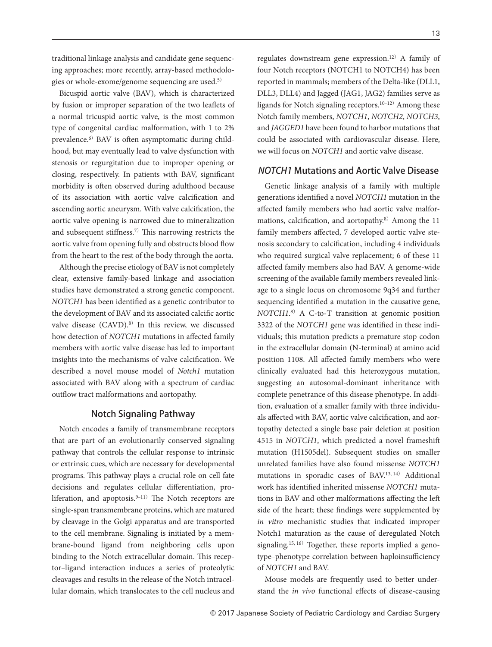traditional linkage analysis and candidate gene sequencing approaches; more recently, array-based methodologies or whole-exome/genome sequencing are used.5)

Bicuspid aortic valve (BAV), which is characterized by fusion or improper separation of the two leaflets of a normal tricuspid aortic valve, is the most common type of congenital cardiac malformation, with 1 to 2% prevalence.6) BAV is often asymptomatic during childhood, but may eventually lead to valve dysfunction with stenosis or regurgitation due to improper opening or closing, respectively. In patients with BAV, significant morbidity is often observed during adulthood because of its association with aortic valve calcification and ascending aortic aneurysm. With valve calcification, the aortic valve opening is narrowed due to mineralization and subsequent stiffness.7) This narrowing restricts the aortic valve from opening fully and obstructs blood flow from the heart to the rest of the body through the aorta.

Although the precise etiology of BAV is not completely clear, extensive family-based linkage and association studies have demonstrated a strong genetic component. *NOTCH1* has been identified as a genetic contributor to the development of BAV and its associated calcific aortic valve disease (CAVD).8) In this review, we discussed how detection of *NOTCH1* mutations in affected family members with aortic valve disease has led to important insights into the mechanisms of valve calcification. We described a novel mouse model of *Notch1* mutation associated with BAV along with a spectrum of cardiac outflow tract malformations and aortopathy.

## Notch Signaling Pathway

Notch encodes a family of transmembrane receptors that are part of an evolutionarily conserved signaling pathway that controls the cellular response to intrinsic or extrinsic cues, which are necessary for developmental programs. This pathway plays a crucial role on cell fate decisions and regulates cellular differentiation, proliferation, and apoptosis. $9-11$  The Notch receptors are single-span transmembrane proteins, which are matured by cleavage in the Golgi apparatus and are transported to the cell membrane. Signaling is initiated by a membrane-bound ligand from neighboring cells upon binding to the Notch extracellular domain. This receptor-ligand interaction induces a series of proteolytic cleavages and results in the release of the Notch intracellular domain, which translocates to the cell nucleus and regulates downstream gene expression.12) A family of four Notch receptors (NOTCH1 to NOTCH4) has been reported in mammals; members of the Delta-like (DLL1, DLL3, DLL4) and Jagged (JAG1, JAG2) families serve as ligands for Notch signaling receptors. $10-12$  Among these Notch family members, *NOTCH1*, *NOTCH2*, *NOTCH3*, and *JAGGED1* have been found to harbor mutations that could be associated with cardiovascular disease. Here, we will focus on *NOTCH1* and aortic valve disease.

## NOTCH1 Mutations and Aortic Valve Disease

Genetic linkage analysis of a family with multiple generations identified a novel *NOTCH1* mutation in the affected family members who had aortic valve malformations, calcification, and aortopathy.<sup>8)</sup> Among the 11 family members affected, 7 developed aortic valve stenosis secondary to calcification, including 4 individuals who required surgical valve replacement; 6 of these 11 affected family members also had BAV. A genome-wide screening of the available family members revealed linkage to a single locus on chromosome 9q34 and further sequencing identified a mutation in the causative gene, *NOTCH1*. <sup>8</sup>) A C-to-T transition at genomic position 3322 of the *NOTCH1* gene was identified in these individuals; this mutation predicts a premature stop codon in the extracellular domain (N-terminal) at amino acid position 1108. All affected family members who were clinically evaluated had this heterozygous mutation, suggesting an autosomal-dominant inheritance with complete penetrance of this disease phenotype. In addition, evaluation of a smaller family with three individuals affected with BAV, aortic valve calcification, and aortopathy detected a single base pair deletion at position 4515 in *NOTCH1*, which predicted a novel frameshift mutation (H1505del). Subsequent studies on smaller unrelated families have also found missense *NOTCH1* mutations in sporadic cases of BAV.13, 14) Additional work has identified inherited missense *NOTCH1* mutations in BAV and other malformations affecting the left side of the heart; these findings were supplemented by *in vitro* mechanistic studies that indicated improper Notch1 maturation as the cause of deregulated Notch signaling.<sup>15, 16)</sup> Together, these reports implied a genotype-phenotype correlation between haploinsufficiency of *NOTCH1* and BAV.

Mouse models are frequently used to better understand the *in vivo* functional effects of disease-causing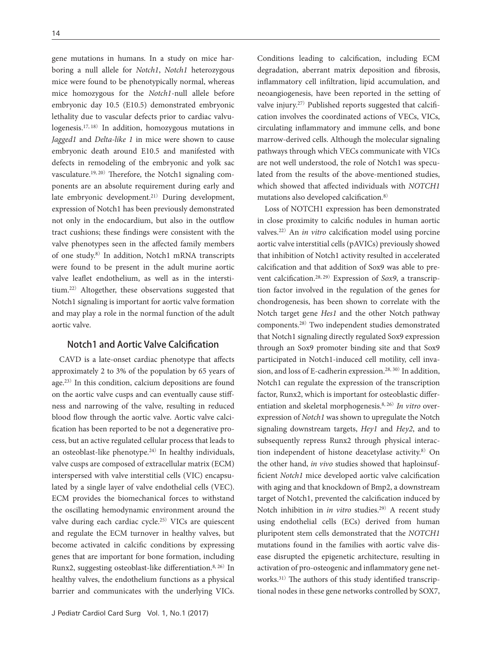gene mutations in humans. In a study on mice harboring a null allele for *Notch1*, *Notch1* heterozygous mice were found to be phenotypically normal, whereas mice homozygous for the *Notch1*-null allele before embryonic day 10.5 (E10.5) demonstrated embryonic lethality due to vascular defects prior to cardiac valvulogenesis.17, 18) In addition, homozygous mutations in *Jagged1* and *Delta-like 1* in mice were shown to cause embryonic death around E10.5 and manifested with defects in remodeling of the embryonic and yolk sac vasculature.<sup>19, 20)</sup> Therefore, the Notch1 signaling components are an absolute requirement during early and late embryonic development.<sup>21)</sup> During development, expression of Notch1 has been previously demonstrated not only in the endocardium, but also in the outflow tract cushions; these findings were consistent with the valve phenotypes seen in the affected family members of one study.8) In addition, Notch1 mRNA transcripts were found to be present in the adult murine aortic valve leaflet endothelium, as well as in the interstitium.22) Altogether, these observations suggested that Notch1 signaling is important for aortic valve formation and may play a role in the normal function of the adult aortic valve.

## Notch1 and Aortic Valve Calcification

CAVD is a late-onset cardiac phenotype that affects approximately 2 to 3% of the population by 65 years of age.23) In this condition, calcium depositions are found on the aortic valve cusps and can eventually cause stiffness and narrowing of the valve, resulting in reduced blood flow through the aortic valve. Aortic valve calcification has been reported to be not a degenerative process, but an active regulated cellular process that leads to an osteoblast-like phenotype.24) In healthy individuals, valve cusps are composed of extracellular matrix (ECM) interspersed with valve interstitial cells (VIC) encapsulated by a single layer of valve endothelial cells (VEC). ECM provides the biomechanical forces to withstand the oscillating hemodynamic environment around the valve during each cardiac cycle.25) VICs are quiescent and regulate the ECM turnover in healthy valves, but become activated in calcific conditions by expressing genes that are important for bone formation, including Runx2, suggesting osteoblast-like differentiation.8, 26) In healthy valves, the endothelium functions as a physical barrier and communicates with the underlying VICs.

Conditions leading to calcification, including ECM degradation, aberrant matrix deposition and fibrosis, inflammatory cell infiltration, lipid accumulation, and neoangiogenesis, have been reported in the setting of valve injury.27) Published reports suggested that calcification involves the coordinated actions of VECs, VICs, circulating inflammatory and immune cells, and bone marrow-derived cells. Although the molecular signaling pathways through which VECs communicate with VICs are not well understood, the role of Notch1 was speculated from the results of the above-mentioned studies, which showed that affected individuals with *NOTCH1* mutations also developed calcification.8)

Loss of NOTCH1 expression has been demonstrated in close proximity to calcific nodules in human aortic valves.22) An *in vitro* calcification model using porcine aortic valve interstitial cells (pAVICs) previously showed that inhibition of Notch1 activity resulted in accelerated calcification and that addition of Sox9 was able to prevent calcification.28, 29) Expression of *Sox9*, a transcription factor involved in the regulation of the genes for chondrogenesis, has been shown to correlate with the Notch target gene *Hes1* and the other Notch pathway components.28) Two independent studies demonstrated that Notch1 signaling directly regulated Sox9 expression through an Sox9 promoter binding site and that Sox9 participated in Notch1-induced cell motility, cell invasion, and loss of E-cadherin expression.28, 30) In addition, Notch1 can regulate the expression of the transcription factor, Runx2, which is important for osteoblastic differentiation and skeletal morphogenesis.8, 26)*In vitro* overexpression of *Notch1* was shown to upregulate the Notch signaling downstream targets, *Hey1* and *Hey2*, and to subsequently repress Runx2 through physical interaction independent of histone deacetylase activity.<sup>8)</sup> On the other hand, *in vivo* studies showed that haploinsufficient *Notch1* mice developed aortic valve calcification with aging and that knockdown of Bmp2, a downstream target of Notch1, prevented the calcification induced by Notch inhibition in *in vitro* studies.<sup>29)</sup> A recent study using endothelial cells (ECs) derived from human pluripotent stem cells demonstrated that the *NOTCH1* mutations found in the families with aortic valve disease disrupted the epigenetic architecture, resulting in activation of pro-osteogenic and inflammatory gene networks.31) The authors of this study identified transcriptional nodes in these gene networks controlled by SOX7,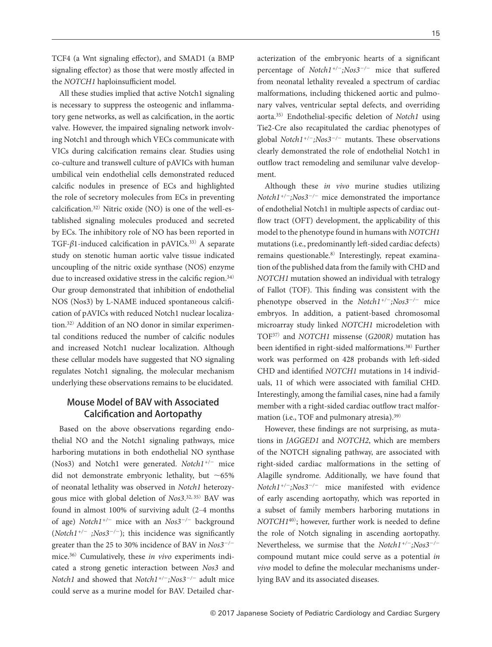TCF4 (a Wnt signaling effector), and SMAD1 (a BMP signaling effector) as those that were mostly affected in the *NOTCH1* haploinsufficient model.

All these studies implied that active Notch1 signaling is necessary to suppress the osteogenic and inflammatory gene networks, as well as calcification, in the aortic valve. However, the impaired signaling network involving Notch1 and through which VECs communicate with VICs during calcification remains clear. Studies using co-culture and transwell culture of pAVICs with human umbilical vein endothelial cells demonstrated reduced calcific nodules in presence of ECs and highlighted the role of secretory molecules from ECs in preventing calcification.32) Nitric oxide (NO) is one of the well-established signaling molecules produced and secreted by ECs. The inhibitory role of NO has been reported in TGF-β1-induced calcification in pAVICs.<sup>33)</sup> A separate study on stenotic human aortic valve tissue indicated uncoupling of the nitric oxide synthase (NOS) enzyme due to increased oxidative stress in the calcific region.<sup>34)</sup> Our group demonstrated that inhibition of endothelial NOS (Nos3) by L-NAME induced spontaneous calcification of pAVICs with reduced Notch1 nuclear localization.32) Addition of an NO donor in similar experimental conditions reduced the number of calcific nodules and increased Notch1 nuclear localization. Although these cellular models have suggested that NO signaling regulates Notch1 signaling, the molecular mechanism underlying these observations remains to be elucidated.

# Mouse Model of BAV with Associated Calcification and Aortopathy

Based on the above observations regarding endothelial NO and the Notch1 signaling pathways, mice harboring mutations in both endothelial NO synthase (Nos3) and Notch1 were generated. *Notch1+/*<sup>−</sup> mice did not demonstrate embryonic lethality, but ∼65% of neonatal lethality was observed in *Notch1* heterozygous mice with global deletion of *Nos3*. 32, 35) BAV was found in almost 100% of surviving adult (2‒4 months of age) *Notch1+/*<sup>−</sup> mice with an *Nos3*<sup>−</sup>*/*<sup>−</sup> background (*Notch1+/*<sup>−</sup> *;Nos3*<sup>−</sup>*/*<sup>−</sup>); this incidence was significantly greater than the 25 to 30% incidence of BAV in *Nos3*<sup>−</sup>*/*<sup>−</sup> mice.36) Cumulatively, these *in vivo* experiments indicated a strong genetic interaction between *Nos3* and *Notch1* and showed that *Notch1+/*<sup>−</sup>*;Nos3*<sup>−</sup>*/*<sup>−</sup> adult mice could serve as a murine model for BAV. Detailed characterization of the embryonic hearts of a significant percentage of *Notch1+/*<sup>−</sup>*;Nos3*<sup>−</sup>*/*<sup>−</sup> mice that suffered from neonatal lethality revealed a spectrum of cardiac malformations, including thickened aortic and pulmonary valves, ventricular septal defects, and overriding aorta.35) Endothelial-specific deletion of *Notch1* using Tie2-Cre also recapitulated the cardiac phenotypes of global *Notch1+/*<sup>−</sup>*;Nos3*<sup>−</sup>*/*<sup>−</sup> mutants. These observations clearly demonstrated the role of endothelial Notch1 in outflow tract remodeling and semilunar valve development.

Although these *in vivo* murine studies utilizing *Notch1+/*<sup>−</sup>*;Nos3*<sup>−</sup>*/*<sup>−</sup> mice demonstrated the importance of endothelial Notch1 in multiple aspects of cardiac outflow tract (OFT) development, the applicability of this model to the phenotype found in humans with *NOTCH1* mutations (i.e., predominantly left-sided cardiac defects) remains questionable.8) Interestingly, repeat examination of the published data from the family with CHD and *NOTCH1* mutation showed an individual with tetralogy of Fallot (TOF). This finding was consistent with the phenotype observed in the *Notch1+/*<sup>−</sup>*;Nos3*<sup>−</sup>*/*<sup>−</sup> mice embryos. In addition, a patient-based chromosomal microarray study linked *NOTCH1* microdeletion with TOF37) and *NOTCH1* missense (*G200R)* mutation has been identified in right-sided malformations.38) Further work was performed on 428 probands with left-sided CHD and identified *NOTCH1* mutations in 14 individuals, 11 of which were associated with familial CHD. Interestingly, among the familial cases, nine had a family member with a right-sided cardiac outflow tract malformation (i.e., TOF and pulmonary atresia).<sup>39)</sup>

However, these findings are not surprising, as mutations in *JAGGED1* and *NOTCH2*, which are members of the NOTCH signaling pathway, are associated with right-sided cardiac malformations in the setting of Alagille syndrome. Additionally, we have found that *Notch1+/*<sup>−</sup>*;Nos3*<sup>−</sup>*/*<sup>−</sup> mice manifested with evidence of early ascending aortopathy, which was reported in a subset of family members harboring mutations in *NOTCH1*<sup>40</sup>); however, further work is needed to define the role of Notch signaling in ascending aortopathy. Nevertheless, we surmise that the *Notch1+/*<sup>−</sup>*;Nos3*<sup>−</sup>*/*<sup>−</sup> compound mutant mice could serve as a potential *in vivo* model to define the molecular mechanisms underlying BAV and its associated diseases.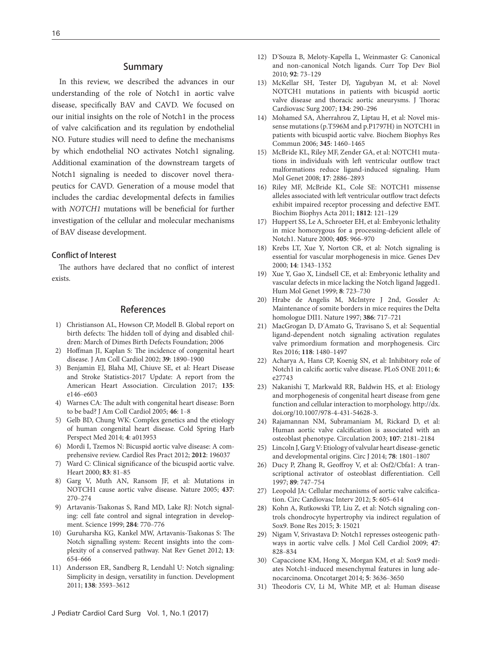#### Summary

In this review, we described the advances in our understanding of the role of Notch1 in aortic valve disease, specifically BAV and CAVD. We focused on our initial insights on the role of Notch1 in the process of valve calcification and its regulation by endothelial NO. Future studies will need to define the mechanisms by which endothelial NO activates Notch1 signaling. Additional examination of the downstream targets of Notch1 signaling is needed to discover novel therapeutics for CAVD. Generation of a mouse model that includes the cardiac developmental defects in families with *NOTCH1* mutations will be beneficial for further investigation of the cellular and molecular mechanisms of BAV disease development.

#### Conflict of Interest

The authors have declared that no conflict of interest exists.

## References

- 1) Christianson AL, Howson CP, Modell B. Global report on birth defects: The hidden toll of dying and disabled children: March of Dimes Birth Defects Foundation; 2006
- [2\) Hoffman JI, Kaplan S: The incidence of congenital heart](http://dx.doi.org/10.1016/S0735-1097(02)01886-7)  [disease. J Am Coll Cardiol 2002;](http://dx.doi.org/10.1016/S0735-1097(02)01886-7) **39**: 1890‒1900
- [3\) Benjamin EJ, Blaha MJ, Chiuve SE, et al: Heart Disease](http://dx.doi.org/10.1161/CIR.0000000000000485)  [and Stroke Statistics-2017 Update: A report from the](http://dx.doi.org/10.1161/CIR.0000000000000485)  [American Heart Association. Circulation 2017;](http://dx.doi.org/10.1161/CIR.0000000000000485) **135**: [e146](http://dx.doi.org/10.1161/CIR.0000000000000485)-e603
- [4\) Warnes CA: The adult with congenital heart disease: Born](http://dx.doi.org/10.1016/j.jacc.2005.02.083)  [to be bad? J Am Coll Cardiol 2005;](http://dx.doi.org/10.1016/j.jacc.2005.02.083) **46**: 1‒8
- [5\) Gelb BD, Chung WK: Complex genetics and the etiology](http://dx.doi.org/10.1101/cshperspect.a013953)  [of human congenital heart disease. Cold Spring Harb](http://dx.doi.org/10.1101/cshperspect.a013953)  [Perspect Med 2014;](http://dx.doi.org/10.1101/cshperspect.a013953) **4**: a013953
- 6) Mordi I, Tzemos N: Bicuspid aortic valve disease: A comprehensive review. Cardiol Res Pract 2012; **2012**: 196037
- [7\) Ward C: Clinical significance of the bicuspid aortic valve.](http://dx.doi.org/10.1136/heart.83.1.81)  [Heart 2000;](http://dx.doi.org/10.1136/heart.83.1.81) **83**: 81‒85
- [8\) Garg V, Muth AN, Ransom JF, et al: Mutations in](http://dx.doi.org/10.1038/nature03940)  [NOTCH1 cause aortic valve disease. Nature 2005;](http://dx.doi.org/10.1038/nature03940) **437**: [270](http://dx.doi.org/10.1038/nature03940)‒274
- [9\) Artavanis-Tsakonas S, Rand MD, Lake RJ: Notch signal](http://dx.doi.org/10.1126/science.284.5415.770)[ing: cell fate control and signal integration in develop](http://dx.doi.org/10.1126/science.284.5415.770)[ment. Science 1999;](http://dx.doi.org/10.1126/science.284.5415.770) **284**: 770‒776
- [10\) Guruharsha KG, Kankel MW, Artavanis-Tsakonas S: The](http://dx.doi.org/10.1038/nrg3272)  [Notch signalling system: Recent insights into the com](http://dx.doi.org/10.1038/nrg3272)[plexity of a conserved pathway. Nat Rev Genet 2012;](http://dx.doi.org/10.1038/nrg3272) **13**: [654](http://dx.doi.org/10.1038/nrg3272)‒666
- [11\) Andersson ER, Sandberg R, Lendahl U: Notch signaling:](http://dx.doi.org/10.1242/dev.063610)  [Simplicity in design, versatility in function. Development](http://dx.doi.org/10.1242/dev.063610)  [2011;](http://dx.doi.org/10.1242/dev.063610) **138**: 3593‒3612
- 12) D'[Souza B, Meloty-Kapella L, Weinmaster G: Canonical](http://dx.doi.org/10.1016/S0070-2153(10)92003-6)  [and non-canonical Notch ligands. Curr Top Dev Biol](http://dx.doi.org/10.1016/S0070-2153(10)92003-6)  [2010;](http://dx.doi.org/10.1016/S0070-2153(10)92003-6) **92**: 73‒129
- [13\) McKellar SH, Tester DJ, Yagubyan M, et al: Novel](http://dx.doi.org/10.1016/j.jtcvs.2007.02.041)  [NOTCH1 mutations in patients with bicuspid aortic](http://dx.doi.org/10.1016/j.jtcvs.2007.02.041)  [valve disease and thoracic aortic aneurysms. J Thorac](http://dx.doi.org/10.1016/j.jtcvs.2007.02.041)  [Cardiovasc Surg 2007;](http://dx.doi.org/10.1016/j.jtcvs.2007.02.041) **134**: 290‒296
- [14\) Mohamed SA, Aherrahrou Z, Liptau H, et al: Novel mis](http://dx.doi.org/10.1016/j.bbrc.2006.05.046)[sense mutations \(p.T596M and p.P1797H\) in NOTCH1 in](http://dx.doi.org/10.1016/j.bbrc.2006.05.046)  [patients with bicuspid aortic valve. Biochem Biophys Res](http://dx.doi.org/10.1016/j.bbrc.2006.05.046)  [Commun 2006;](http://dx.doi.org/10.1016/j.bbrc.2006.05.046) **345**: 1460‒1465
- [15\) McBride KL, Riley MF, Zender GA, et al: NOTCH1 muta](http://dx.doi.org/10.1093/hmg/ddn187)[tions in individuals with left ventricular outflow tract](http://dx.doi.org/10.1093/hmg/ddn187)  [malformations reduce ligand-induced signaling. Hum](http://dx.doi.org/10.1093/hmg/ddn187)  [Mol Genet 2008;](http://dx.doi.org/10.1093/hmg/ddn187) **17**: 2886‒2893
- [16\) Riley MF, McBride KL, Cole SE: NOTCH1 missense](http://dx.doi.org/10.1016/j.bbadis.2010.10.002)  [alleles associated with left ventricular outflow tract defects](http://dx.doi.org/10.1016/j.bbadis.2010.10.002)  [exhibit impaired receptor processing and defective EMT.](http://dx.doi.org/10.1016/j.bbadis.2010.10.002)  [Biochim Biophys Acta 2011;](http://dx.doi.org/10.1016/j.bbadis.2010.10.002) **1812**: 121‒129
- [17\) Huppert SS, Le A, Schroeter EH, et al: Embryonic lethality](http://dx.doi.org/10.1038/35016111)  [in mice homozygous for a processing-deficient allele of](http://dx.doi.org/10.1038/35016111)  [Notch1. Nature 2000;](http://dx.doi.org/10.1038/35016111) **405**: 966‒970
- 18) Krebs LT, Xue Y, Norton CR, et al: Notch signaling is essential for vascular morphogenesis in mice. Genes Dev 2000; **14**: 1343‒1352
- [19\) Xue Y, Gao X, Lindsell CE, et al: Embryonic lethality and](http://dx.doi.org/10.1093/hmg/8.5.723)  [vascular defects in mice lacking the Notch ligand Jagged1.](http://dx.doi.org/10.1093/hmg/8.5.723)  [Hum Mol Genet 1999;](http://dx.doi.org/10.1093/hmg/8.5.723) **8**: 723‒730
- [20\) Hrabe de Angelis M, McIntyre J 2nd, Gossler A:](http://dx.doi.org/10.1038/386717a0)  [Maintenance of somite borders in mice requires the Delta](http://dx.doi.org/10.1038/386717a0)  [homologue DII1. Nature 1997;](http://dx.doi.org/10.1038/386717a0) **386**: 717‒721
- 21) MacGrogan D, D'[Amato G, Travisano S, et al: Sequential](http://dx.doi.org/10.1161/CIRCRESAHA.115.308077)  [ligand-dependent notch signaling activation regulates](http://dx.doi.org/10.1161/CIRCRESAHA.115.308077)  [valve primordium formation and morphogenesis. Circ](http://dx.doi.org/10.1161/CIRCRESAHA.115.308077)  [Res 2016;](http://dx.doi.org/10.1161/CIRCRESAHA.115.308077) **118**: 1480‒1497
- [22\) Acharya A, Hans CP, Koenig SN, et al: Inhibitory role of](http://dx.doi.org/10.1371/journal.pone.0027743)  [Notch1 in calcific aortic valve disease. PLoS ONE 2011;](http://dx.doi.org/10.1371/journal.pone.0027743) **6**: [e27743](http://dx.doi.org/10.1371/journal.pone.0027743)
- 23) Nakanishi T, Markwald RR, Baldwin HS, et al: Etiology and morphogenesis of congenital heart disease from gene function and cellular interaction to morphology. http://dx. doi.org/10.1007/978-4-431-54628-3.
- [24\) Rajamannan NM, Subramaniam M, Rickard D, et al:](http://dx.doi.org/10.1161/01.CIR.0000070591.21548.69)  [Human aortic valve calcification is associated with an](http://dx.doi.org/10.1161/01.CIR.0000070591.21548.69)  [osteoblast phenotype. Circulation 2003;](http://dx.doi.org/10.1161/01.CIR.0000070591.21548.69) 107: 2181-2184
- [25\) Lincoln J, Garg V: Etiology of valvular heart disease-genetic](http://dx.doi.org/10.1253/circj.CJ-14-0510)  [and developmental origins. Circ J 2014;](http://dx.doi.org/10.1253/circj.CJ-14-0510) 78: 1801-1807
- [26\) Ducy P, Zhang R, Geoffroy V, et al: Osf2/Cbfa1: A tran](http://dx.doi.org/10.1016/S0092-8674(00)80257-3)[scriptional activator of osteoblast differentiation. Cell](http://dx.doi.org/10.1016/S0092-8674(00)80257-3)  [1997;](http://dx.doi.org/10.1016/S0092-8674(00)80257-3) **89**: 747‒754
- [27\) Leopold JA: Cellular mechanisms of aortic valve calcifica](http://dx.doi.org/10.1161/CIRCINTERVENTIONS.112.971028)[tion. Circ Cardiovasc Interv 2012;](http://dx.doi.org/10.1161/CIRCINTERVENTIONS.112.971028) **5**: 605‒614
- [28\) Kohn A, Rutkowski TP, Liu Z, et al: Notch signaling con](http://dx.doi.org/10.1038/boneres.2015.21)[trols chondrocyte hypertrophy via indirect regulation of](http://dx.doi.org/10.1038/boneres.2015.21)  [Sox9. Bone Res 2015;](http://dx.doi.org/10.1038/boneres.2015.21) **3**: 15021
- [29\) Nigam V, Srivastava D: Notch1 represses osteogenic path](http://dx.doi.org/10.1016/j.yjmcc.2009.08.008)[ways in aortic valve cells. J Mol Cell Cardiol 2009;](http://dx.doi.org/10.1016/j.yjmcc.2009.08.008) **47**: [828](http://dx.doi.org/10.1016/j.yjmcc.2009.08.008)‒834
- [30\) Capaccione KM, Hong X, Morgan KM, et al: Sox9 medi](http://dx.doi.org/10.18632/oncotarget.1970)[ates Notch1-induced mesenchymal features in lung ade](http://dx.doi.org/10.18632/oncotarget.1970)[nocarcinoma. Oncotarget 2014;](http://dx.doi.org/10.18632/oncotarget.1970) **5**: 3636‒3650
- [31\) Theodoris CV, Li M, White MP, et al: Human disease](http://dx.doi.org/10.1016/j.cell.2015.02.035)